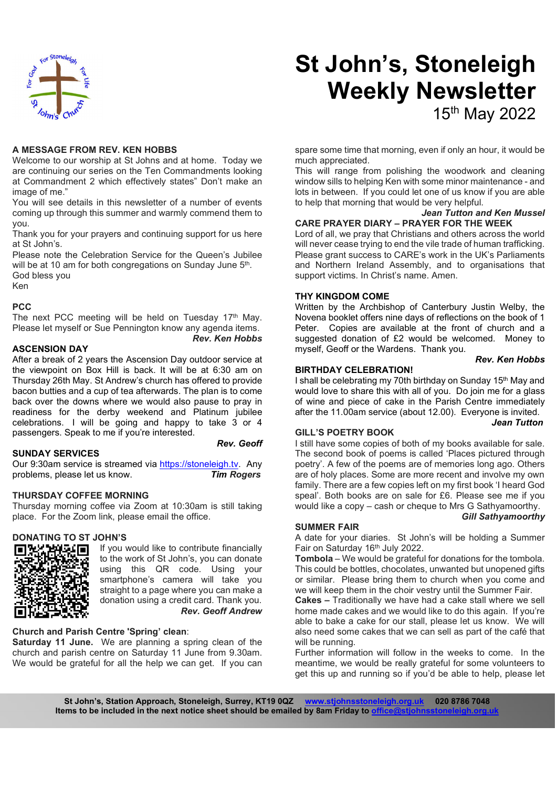

# A MESSAGE FROM REV. KEN HOBBS

Welcome to our worship at St Johns and at home. Today we are continuing our series on the Ten Commandments looking at Commandment 2 which effectively states" Don't make an image of me."

You will see details in this newsletter of a number of events coming up through this summer and warmly commend them to you.

Thank you for your prayers and continuing support for us here at St John's.

Please note the Celebration Service for the Queen's Jubilee will be at 10 am for both congregations on Sunday June 5<sup>th</sup>. and Northern Ireland Assem<br>God bless you support victims. In Christ's nar

Ken

#### **PCC**

The next PCC meeting will be held on Tuesday 17<sup>th</sup> May. Please let myself or Sue Pennington know any agenda items. Rev. Ken Hobbs

ASCENSION DAY

After a break of 2 years the Ascension Day outdoor service at the viewpoint on Box Hill is back. It will be at 6:30 am on Thursday 26th May. St Andrew's church has offered to provide bacon butties and a cup of tea afterwards. The plan is to come back over the downs where we would also pause to pray in readiness for the derby weekend and Platinum jubilee celebrations. I will be going and happy to take 3 or 4 passengers. Speak to me if you're interested.

# SUNDAY SERVICES

Our 9:30am service is streamed via https://stoneleigh.tv. Any problems, please let us know. Tim Rogers

# THURSDAY COFFEE MORNING

Thursday morning coffee via Zoom at 10:30am is still taking place. For the Zoom link, please email the office.

# DONATING TO ST JOHN'S



If you would like to contribute financially to the work of St John's, you can donate using this QR code. Using your smartphone's camera will take you straight to a page where you can make a donation using a credit card. Thank you. Rev. Geoff Andrew

# Church and Parish Centre 'Spring' clean:

Saturday 11 June. We are planning a spring clean of the church and parish centre on Saturday 11 June from 9.30am. We would be grateful for all the help we can get. If you can

# St John's, Stoneleigh Weekly Newsletter 15th May 2022

spare some time that morning, even if only an hour, it would be much appreciated.

This will range from polishing the woodwork and cleaning window sills to helping Ken with some minor maintenance - and lots in between. If you could let one of us know if you are able to help that morning that would be very helpful.

#### Jean Tutton and Ken Mussel CARE PRAYER DIARY – PRAYER FOR THE WEEK

Lord of all, we pray that Christians and others across the world will never cease trying to end the vile trade of human trafficking. Please grant success to CARE's work in the UK's Parliaments and Northern Ireland Assembly, and to organisations that support victims. In Christ's name. Amen.

# THY KINGDOM COME

Written by the Archbishop of Canterbury Justin Welby, the Novena booklet offers nine days of reflections on the book of 1 Peter. Copies are available at the front of church and a suggested donation of £2 would be welcomed. Money to myself, Geoff or the Wardens. Thank you.

# Rev. Ken Hobbs

# BIRTHDAY CELEBRATION!

I shall be celebrating my 70th birthday on Sunday 15<sup>th</sup> May and would love to share this with all of you. Do join me for a glass of wine and piece of cake in the Parish Centre immediately after the 11.00am service (about 12.00). Everyone is invited.

#### Jean Tutton

# GILL'S POETRY BOOK

**Rev. Geoff** I still have some copies of both of my books available for sale. The second book of poems is called 'Places pictured through poetry'. A few of the poems are of memories long ago. Others are of holy places. Some are more recent and involve my own family. There are a few copies left on my first book 'I heard God speal'. Both books are on sale for £6. Please see me if you would like a copy – cash or cheque to Mrs G Sathyamoorthy. Gill Sathyamoorthy

#### SUMMER FAIR

A date for your diaries. St John's will be holding a Summer Fair on Saturday 16th July 2022.

Tombola – We would be grateful for donations for the tombola. This could be bottles, chocolates, unwanted but unopened gifts or similar. Please bring them to church when you come and we will keep them in the choir vestry until the Summer Fair.

Cakes – Traditionally we have had a cake stall where we sell home made cakes and we would like to do this again. If you're able to bake a cake for our stall, please let us know. We will also need some cakes that we can sell as part of the café that will be running.

Further information will follow in the weeks to come. In the meantime, we would be really grateful for some volunteers to get this up and running so if you'd be able to help, please let

St John's, Station Approach, Stoneleigh, Surrey, KT19 0QZ www.stjohnsstoneleigh.org.uk 020 8786 7048 Items to be included in the next notice sheet should be emailed by 8am Friday to office@stjohn